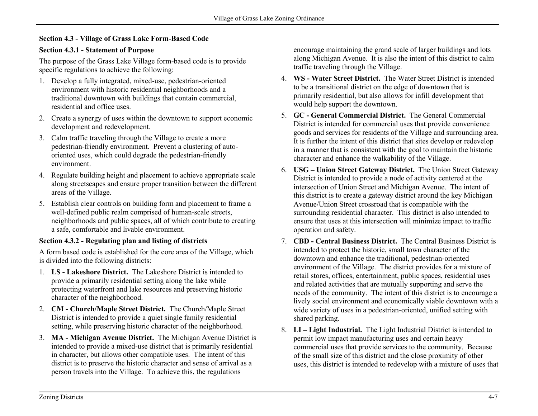## **Section 4.3 - Village of Grass Lake Form-Based Code**

## **Section 4.3.1 - Statement of Purpose**

The purpose of the Grass Lake Village form-based code is to provide specific regulations to achieve the following:

- 1. Develop a fully integrated, mixed-use, pedestrian-oriented environment with historic residential neighborhoods and a traditional downtown with buildings that contain commercial, residential and office uses.
- 2. Create a synergy of uses within the downtown to support economic development and redevelopment.
- 3. Calm traffic traveling through the Village to create a more pedestrian-friendly environment. Prevent a clustering of autooriented uses, which could degrade the pedestrian-friendly environment.
- 4. Regulate building height and placement to achieve appropriate scale along streetscapes and ensure proper transition between the different areas of the Village.
- 5. Establish clear controls on building form and placement to frame a well-defined public realm comprised of human-scale streets, neighborhoods and public spaces, all of which contribute to creating a safe, comfortable and livable environment.

## **Section 4.3.2 - Regulating plan and listing of districts**

A form based code is established for the core area of the Village, which is divided into the following districts:

- 1. **LS - Lakeshore District.** The Lakeshore District is intended to provide a primarily residential setting along the lake while protecting waterfront and lake resources and preserving historic character of the neighborhood.
- 2. **CM - Church/Maple Street District.** The Church/Maple Street District is intended to provide a quiet single family residential setting, while preserving historic character of the neighborhood.
- 3. **MA - Michigan Avenue District.** The Michigan Avenue District is intended to provide a mixed-use district that is primarily residential in character, but allows other compatible uses. The intent of this district is to preserve the historic character and sense of arrival as a person travels into the Village. To achieve this, the regulations

encourage maintaining the grand scale of larger buildings and lots along Michigan Avenue. It is also the intent of this district to calm traffic traveling through the Village.

- 4. **WS - Water Street District.** The Water Street District is intended to be a transitional district on the edge of downtown that is primarily residential, but also allows for infill development that would help support the downtown.
- 5. **GC - General Commercial District.** The General Commercial District is intended for commercial uses that provide convenience goods and services for residents of the Village and surrounding area. It is further the intent of this district that sites develop or redevelop in a manner that is consistent with the goal to maintain the historic character and enhance the walkability of the Village.
- 6. **USG – Union Street Gateway District.** The Union Street Gateway District is intended to provide a node of activity centered at the intersection of Union Street and Michigan Avenue. The intent of this district is to create a gateway district around the key Michigan Avenue/Union Street crossroad that is compatible with the surrounding residential character. This district is also intended to ensure that uses at this intersection will minimize impact to traffic operation and safety.
- 7. **CBD - Central Business District.** The Central Business District is intended to protect the historic, small town character of the downtown and enhance the traditional, pedestrian-oriented environment of the Village. The district provides for a mixture of retail stores, offices, entertainment, public spaces, residential uses and related activities that are mutually supporting and serve the needs of the community. The intent of this district is to encourage a lively social environment and economically viable downtown with a wide variety of uses in a pedestrian-oriented, unified setting with shared parking.
- 8. **LI – Light Industrial.** The Light Industrial District is intended to permit low impact manufacturing uses and certain heavy commercial uses that provide services to the community. Because of the small size of this district and the close proximity of other uses, this district is intended to redevelop with a mixture of uses that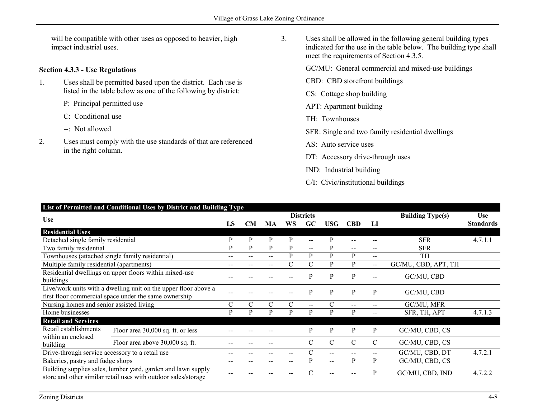will be compatible with other uses as opposed to heavier, high impact industrial uses.

## **Section 4.3.3 - Use Regulations**

- 1. Uses shall be permitted based upon the district. Each use is listed in the table below as one of the following by district:
	- P: Principal permitted use
	- C: Conditional use
	- --: Not allowed
- 2. Uses must comply with the use standards of that are referenced in the right column.
- 3. Uses shall be allowed in the following general building types indicated for the use in the table below. The building type shall meet the requirements of Section 4.3.5.
	- GC/MU: General commercial and mixed-use buildings
	- CBD: CBD storefront buildings
	- CS: Cottage shop building
	- APT: Apartment building
	- TH: Townhouses
	- SFR: Single and two family residential dwellings
	- AS: Auto service uses
	- DT: Accessory drive-through uses
	- IND: Industrial building
	- C/I: Civic/institutional buildings

| List of Permitted and Conditional Uses by District and Building Type                                                           |                                   |    |           |     |                  |                         |               |               |                                                |                     |                  |
|--------------------------------------------------------------------------------------------------------------------------------|-----------------------------------|----|-----------|-----|------------------|-------------------------|---------------|---------------|------------------------------------------------|---------------------|------------------|
| <b>Use</b>                                                                                                                     |                                   |    |           |     | <b>Districts</b> | <b>Building Type(s)</b> | <b>Use</b>    |               |                                                |                     |                  |
|                                                                                                                                |                                   | LS | <b>CM</b> | MA  | WS               | GC                      | USG           | <b>CBD</b>    | LІ                                             |                     | <b>Standards</b> |
| <b>Residential Uses</b>                                                                                                        |                                   |    |           |     |                  |                         |               |               |                                                |                     |                  |
| Detached single family residential                                                                                             |                                   | P  | P         | P   | P                | $-$                     | P             |               |                                                | <b>SFR</b>          | 4.7.1.1          |
| Two family residential                                                                                                         |                                   | Þ  | P         | P   | P                | $-$                     | P             |               |                                                | <b>SFR</b>          |                  |
| Townhouses (attached single family residential)                                                                                |                                   | -- | --        | $-$ | P                | P                       | P             | P             | $\hspace{0.1mm}-\hspace{0.1mm}-\hspace{0.1mm}$ | <b>TH</b>           |                  |
| Multiple family residential (apartments)                                                                                       |                                   |    |           |     | $\mathcal{C}$    | С                       | P             | P             | $- -$                                          | GC/MU, CBD, APT, TH |                  |
| Residential dwellings on upper floors within mixed-use                                                                         |                                   |    |           |     |                  | D                       | P             | P             | --                                             | GC/MU, CBD          |                  |
| buildings                                                                                                                      |                                   |    |           |     |                  |                         |               |               |                                                |                     |                  |
| Live/work units with a dwelling unit on the upper floor above a                                                                |                                   |    |           |     |                  | р                       | P             | P             | P                                              | GC/MU, CBD          |                  |
| first floor commercial space under the same ownership                                                                          |                                   |    |           |     |                  |                         |               |               |                                                |                     |                  |
| Nursing homes and senior assisted living                                                                                       |                                   | C  | C         | C   | C                | $- -$                   |               |               | $-$                                            | GC/MU, MFR          |                  |
| Home businesses                                                                                                                |                                   | P  | P         | P   | P                | P                       | P             | P             | --                                             | SFR, TH, APT        | 4.7.1.3          |
| <b>Retail and Services</b>                                                                                                     |                                   |    |           |     |                  |                         |               |               |                                                |                     |                  |
| Retail establishments<br>within an enclosed<br>building                                                                        | Floor area 30,000 sq. ft. or less |    |           |     |                  | P                       | P             | P             | P                                              | GC/MU, CBD, CS      |                  |
|                                                                                                                                | Floor area above 30,000 sq. ft.   |    |           |     |                  | C                       | $\mathcal{C}$ | $\mathcal{C}$ | $\mathcal{C}$                                  | GC/MU, CBD, CS      |                  |
| Drive-through service accessory to a retail use                                                                                |                                   |    |           |     |                  |                         |               |               | --                                             | GC/MU, CBD, DT      | 4.7.2.1          |
| Bakeries, pastry and fudge shops                                                                                               |                                   |    |           |     |                  | D                       | $-$           | D             | P                                              | GC/MU, CBD, CS      |                  |
| Building supplies sales, lumber yard, garden and lawn supply<br>store and other similar retail uses with outdoor sales/storage |                                   |    |           |     |                  |                         |               |               | P                                              | GC/MU, CBD, IND     | 4.7.2.2          |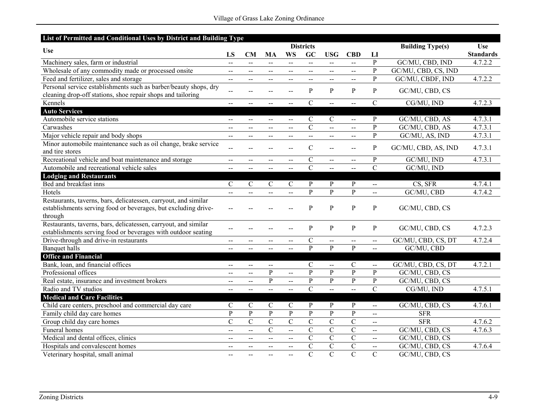| List of Permitted and Conditional Uses by District and Building Type |                                               |                             |                          |                          |                             |                                               |                |                             |                         |                  |
|----------------------------------------------------------------------|-----------------------------------------------|-----------------------------|--------------------------|--------------------------|-----------------------------|-----------------------------------------------|----------------|-----------------------------|-------------------------|------------------|
| <b>Use</b>                                                           | <b>Districts</b>                              |                             |                          |                          |                             |                                               |                |                             | <b>Building Type(s)</b> | <b>Use</b>       |
|                                                                      | LS                                            | CM                          | MA                       | <b>WS</b>                | GC                          | <b>USG</b>                                    | <b>CBD</b>     | LI                          |                         | <b>Standards</b> |
| Machinery sales, farm or industrial                                  | $\overline{a}$                                | Ц.                          | $\Delta \Delta \Delta$   | ш.,                      | u.                          | $\mathbf{u}$                                  | $\overline{a}$ | $\overline{P}$              | GC/MU, CBD, IND         | 4.7.2.2          |
| Wholesale of any commodity made or processed onsite                  | $- -$                                         | $-$                         | $-$                      | --                       | --                          | $\sim$                                        | $-$            | $\overline{P}$              | GC/MU, CBD, CS, IND     |                  |
| Feed and fertilizer, sales and storage                               | $-$                                           | $\overline{a}$              | $- -$                    | $\sim$ $\sim$            | $\mathcal{L}_{\mathcal{F}}$ | $\overline{a}$                                | $\overline{a}$ | $\overline{P}$              | GC/MU, CBDF, IND        | 4.7.2.2          |
| Personal service establishments such as barber/beauty shops, dry     | $\overline{a}$                                |                             |                          |                          | P                           | P                                             | P              | $\, {\bf p}$                | GC/MU, CBD, CS          |                  |
| cleaning drop-off stations, shoe repair shops and tailoring          |                                               | --                          |                          | $-$                      |                             |                                               |                |                             |                         |                  |
| Kennels                                                              | $\sim$ $\sim$                                 | $-$                         | $\overline{a}$           | $\overline{a}$           | $\mathcal{C}$               | $\Delta \Delta \Delta$                        | $\overline{a}$ | $\mathcal{C}$               | CG/MU, IND              | 4.7.2.3          |
| <b>Auto Services</b>                                                 |                                               |                             |                          |                          |                             |                                               |                |                             |                         |                  |
| Automobile service stations                                          | $\overline{\phantom{a}}$                      | $\mathcal{L}_{\mathcal{F}}$ | $\overline{\phantom{a}}$ | $\overline{\phantom{a}}$ | $\mathbf C$                 | $\mathcal{C}$                                 | $\overline{a}$ | $\overline{P}$              | GC/MU, CBD, AS          | 4.7.3.1          |
| Carwashes                                                            |                                               | $\overline{a}$              | $-$                      | $\sim$                   | $\overline{\rm C}$          | $\sim$                                        | $\overline{a}$ | $\overline{P}$              | GC/MU, CBD, AS          | 4.7.3.1          |
| Major vehicle repair and body shops                                  | $\sim$ $-$                                    | $- -$                       | $- -$                    | --                       | ш.,                         | $-$                                           | $-$            | $\overline{P}$              | GC/MU, AS, IND          | 4.7.3.1          |
| Minor automobile maintenance such as oil change, brake service       | $\overline{a}$                                | $-$                         |                          | $-$                      | $\mathcal{C}$               |                                               | $\mathbf{u}$   | $\, {\bf p}$                | GC/MU, CBD, AS, IND     | 4.7.3.1          |
| and tire stores                                                      |                                               |                             |                          |                          |                             |                                               |                |                             |                         |                  |
| Recreational vehicle and boat maintenance and storage                |                                               | $-$                         |                          | $\overline{\phantom{a}}$ | $\mathbf C$                 | $\overline{a}$                                | $-$            | ${\bf P}$                   | GC/MU, IND              | 4.7.3.1          |
| Automobile and recreational vehicle sales                            |                                               | $\overline{a}$              |                          | $\overline{a}$           | $\overline{C}$              |                                               |                | $\overline{C}$              | GC/MU, IND              |                  |
| <b>Lodging and Restaurants</b>                                       |                                               |                             |                          |                          |                             |                                               |                |                             |                         |                  |
| Bed and breakfast inns                                               | $\mathcal{C}$                                 | $\mathcal{C}$               | $\mathcal{C}$            | $\mathcal{C}$            | $\mathbf{P}$                | P                                             | $\mathbf{P}$   | $\overline{a}$              | CS, SFR                 | 4.7.4.1          |
| Hotels                                                               |                                               |                             |                          | $\overline{a}$           | $\overline{P}$              | $\mathbf{P}$                                  | $\overline{P}$ | $\overline{a}$              | GC/MU, CBD              | 4.7.4.2          |
| Restaurants, taverns, bars, delicatessen, carryout, and similar      |                                               |                             |                          |                          |                             |                                               |                |                             |                         |                  |
| establishments serving food or beverages, but excluding drive-       |                                               |                             |                          |                          | P                           | P                                             | $\mathbf{P}$   | ${\bf P}$                   | GC/MU, CBD, CS          |                  |
| through                                                              |                                               |                             |                          |                          |                             |                                               |                |                             |                         |                  |
| Restaurants, taverns, bars, delicatessen, carryout, and similar      |                                               |                             |                          |                          | P                           | $\mathbf{P}$                                  | $\mathbf{P}$   | $\mathbf{P}$                | GC/MU, CBD, CS          | 4.7.2.3          |
| establishments serving food or beverages with outdoor seating        |                                               |                             |                          |                          |                             |                                               |                |                             |                         |                  |
| Drive-through and drive-in restaurants                               | $- -$                                         | $-$                         | $- -$                    | $-$                      | $\mathbf C$                 | $\overline{a}$                                | $\mathbf{u}$   | $\mathcal{L}_{\mathcal{F}}$ | GC/MU, CBD, CS, DT      | 4.7.2.4          |
| <b>Banquet</b> halls                                                 | $-$                                           | $-$                         | $\overline{a}$           | $\overline{a}$           | $\mathbf{P}$                | P                                             | P              | $\mathbf{L}$                | GC/MU, CBD              |                  |
| <b>Office and Financial</b>                                          |                                               |                             |                          |                          |                             |                                               |                |                             |                         |                  |
| Bank, loan, and financial offices                                    | $\overline{\phantom{a}}$                      | $\overline{a}$              | $-$                      |                          | $\mathbf C$                 | $\mathord{\hspace{1pt}\text{--}\hspace{1pt}}$ | $\mathcal{C}$  | $\mathcal{L}_{\mathcal{F}}$ | GC/MU, CBD, CS, DT      | 4.7.2.1          |
| Professional offices                                                 | $\mathord{\hspace{1pt}\text{--}\hspace{1pt}}$ | $\overline{\phantom{a}}$    | P                        | $\overline{\phantom{a}}$ | $\mathbf{P}$                | $\mathbf{P}$                                  | $\mathbf{P}$   | $\mathbf{P}$                | GC/MU, CBD, CS          |                  |
| Real estate, insurance and investment brokers                        | $\overline{\phantom{a}}$                      | $-$                         | P                        | $\overline{a}$           | ${\bf P}$                   | $\mathbf{P}$                                  | $\mathbf{P}$   | ${\bf P}$                   | GC/MU, CBD, CS          |                  |
| Radio and TV studios                                                 |                                               | $\overline{a}$              | $\overline{a}$           | $\sim$                   | $\overline{C}$              | $\overline{a}$                                | $\sim$         | $\overline{C}$              | CG/MU, IND              | 4.7.5.1          |
| <b>Medical and Care Facilities</b>                                   |                                               |                             |                          |                          |                             |                                               |                |                             |                         |                  |
| Child care centers, preschool and commercial day care                | $\mathbf C$                                   | $\mathbf C$                 | $\mathcal{C}$            | $\mathbf C$              | P                           | $\mathbf{P}$                                  | $\mathbf{P}$   | $\overline{a}$              | GC/MU, CBD, CS          | 4.7.6.1          |
| Family child day care homes                                          | $\overline{P}$                                | $\overline{P}$              | $\mathbf{P}$             | $\overline{P}$           | $\overline{P}$              | $\mathbf{P}$                                  | $\overline{P}$ | $\overline{a}$              | <b>SFR</b>              |                  |
| Group child day care homes                                           | $\mathcal{C}$                                 | $\mathcal{C}$               | $\mathbf C$              | $\overline{C}$           | $\mathcal{C}$               | $\mathcal{C}$                                 | $\overline{C}$ | $\sim$                      | <b>SFR</b>              | 4.7.6.2          |
| <b>Funeral</b> homes                                                 | $\sim$ $\sim$                                 | $\overline{a}$              | $\overline{C}$           | $\overline{a}$           | $\overline{\rm C}$          | $\overline{C}$                                | $\overline{C}$ | $\mathcal{L}_{\mathcal{F}}$ | GC/MU, CBD, CS          | 4.7.6.3          |
| Medical and dental offices, clinics                                  | $-$                                           | --                          | $\overline{a}$           | $-$                      | $\overline{C}$              | $\overline{C}$                                | $\mathcal{C}$  | $\mathcal{L}_{\mathcal{F}}$ | GC/MU, CBD, CS          |                  |
| Hospitals and convalescent homes                                     | $-$                                           | $- -$                       | $- -$                    | $\mathbf{u}$             | $\overline{\rm C}$          | $\overline{C}$                                | $\overline{C}$ | $\overline{\phantom{a}}$    | GC/MU, CBD, CS          | 4.7.6.4          |
| Veterinary hospital, small animal                                    | $\sim$ $\sim$                                 | $-$                         |                          | $\overline{a}$           | $\mathbf C$                 | $\overline{C}$                                | $\overline{C}$ | $\mathcal{C}$               | GC/MU, CBD, CS          |                  |